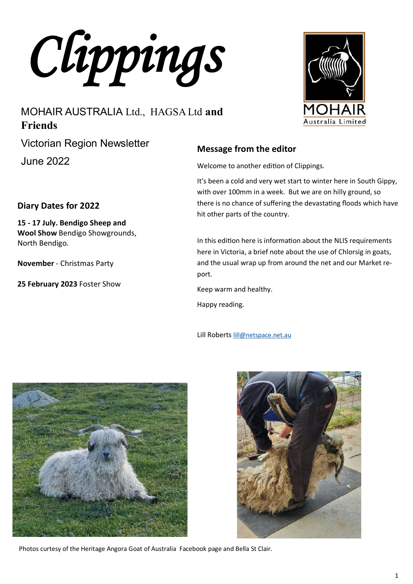*Clippings* 

# MOHAIR AUSTRALIA Ltd., HAGSA Ltd **and Friends**

Victorian Region Newsletter

June 2022

North Bendigo.

**Diary Dates for 2022**

**15 - 17 July. Bendigo Sheep and Wool Show** Bendigo Showgrounds,

**November** - Christmas Party

**25 February 2023** Foster Show

### **Message from the editor**

Welcome to another edition of Clippings.

It's been a cold and very wet start to winter here in South Gippy, with over 100mm in a week. But we are on hilly ground, so there is no chance of suffering the devastating floods which have hit other parts of the country.

In this edition here is information about the NLIS requirements here in Victoria, a brief note about the use of Chlorsig in goats, and the usual wrap up from around the net and our Market report.

Keep warm and healthy.

Happy reading.

Lill Roberts [lill@netspace.net.au](mailto:lill@netspace.net.au)



Photos curtesy of the Heritage Angora Goat of Australia Facebook page and Bella St Clair.





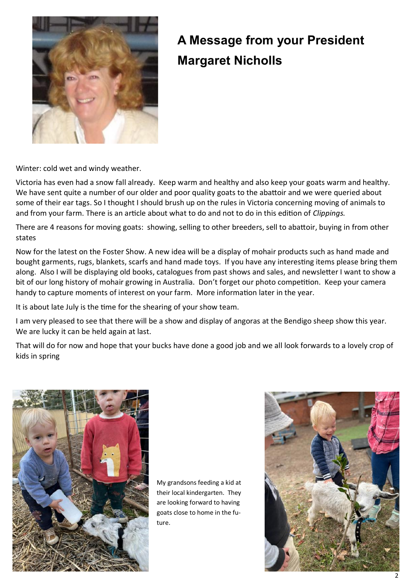

# **A Message from your President Margaret Nicholls**

Winter: cold wet and windy weather.

Victoria has even had a snow fall already. Keep warm and healthy and also keep your goats warm and healthy. We have sent quite a number of our older and poor quality goats to the abattoir and we were queried about some of their ear tags. So I thought I should brush up on the rules in Victoria concerning moving of animals to and from your farm. There is an article about what to do and not to do in this edition of *Clippings.*

There are 4 reasons for moving goats: showing, selling to other breeders, sell to abattoir, buying in from other states

Now for the latest on the Foster Show. A new idea will be a display of mohair products such as hand made and bought garments, rugs, blankets, scarfs and hand made toys. If you have any interesting items please bring them along. Also I will be displaying old books, catalogues from past shows and sales, and newsletter I want to show a bit of our long history of mohair growing in Australia. Don't forget our photo competition. Keep your camera handy to capture moments of interest on your farm. More information later in the year.

It is about late July is the time for the shearing of your show team.

I am very pleased to see that there will be a show and display of angoras at the Bendigo sheep show this year. We are lucky it can be held again at last.

That will do for now and hope that your bucks have done a good job and we all look forwards to a lovely crop of kids in spring



My grandsons feeding a kid at their local kindergarten. They are looking forward to having goats close to home in the future.

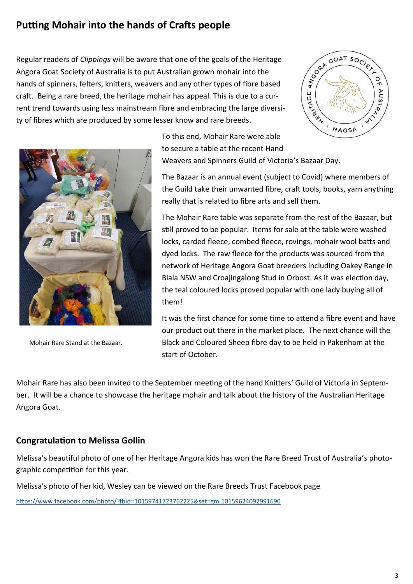# **Putting Mohair into the hands of Crafts people**

Regular readers of *Clippings* will be aware that one of the goals of the Heritage Angora Goat Society of Australia is to put Australian grown mohair into the hands of spinners, felters, knitters, weavers and any other types of fibre based craft. Being a rare breed, the heritage mohair has appeal. This is due to a current trend towards using less mainstream fibre and embracing the large diversity of fibres which are produced by some lesser know and rare breeds.



Mohair Rare Stand at the Bazaar.

HAGSA To this end, Mohair Rare were able to secure a table at the recent Hand Weavers and Spinners Guild of Victoria's Bazaar Day.

The Bazaar is an annual event (subject to Covid) where members of the Guild take their unwanted fibre, craft tools, books, yarn anything really that is related to fibre arts and sell them.

**CORA GOAT SOCIETY** 

AGE

A T-AJ-X

 $\begin{pmatrix} 2 \\ 2 \\ 1 \end{pmatrix}$ 

AUST

LAN  $\mathcal{L}_{\mathcal{L}}$ 

The Mohair Rare table was separate from the rest of the Bazaar, but still proved to be popular. Items for sale at the table were washed locks, carded fleece, combed fleece, rovings, mohair wool batts and dyed locks. The raw fleece for the products was sourced from the network of Heritage Angora Goat breeders including Oakey Range in Biala NSW and Croajingalong Stud in Orbost. As it was election day, the teal coloured locks proved popular with one lady buying all of them!

It was the first chance for some time to attend a fibre event and have our product out there in the market place. The next chance will the Black and Coloured Sheep fibre day to be held in Pakenham at the start of October.

Mohair Rare has also been invited to the September meeting of the hand Knitters' Guild of Victoria in September. It will be a chance to showcase the heritage mohair and talk about the history of the Australian Heritage Angora Goat.

### **Congratulation to Melissa Gollin**

Melissa's beautiful photo of one of her Heritage Angora kids has won the Rare Breed Trust of Australia's photographic competition for this year.

Melissa's photo of her kid, Wesley can be viewed on the Rare Breeds Trust Facebook page

<https://www.facebook.com/photo/?fbid=10159741723762225&set=gm.10159624092991690>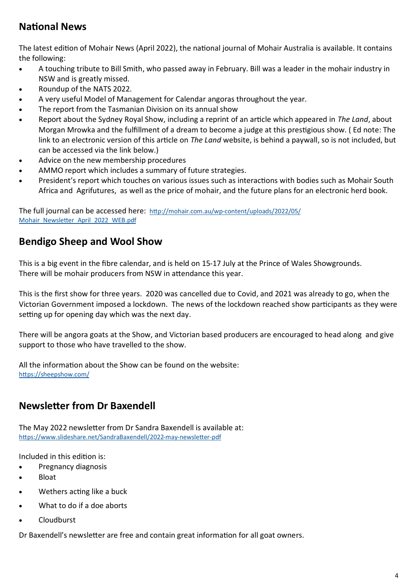# **National News**

The latest edition of Mohair News (April 2022), the national journal of Mohair Australia is available. It contains the following:

- A touching tribute to Bill Smith, who passed away in February. Bill was a leader in the mohair industry in NSW and is greatly missed.
- Roundup of the NATS 2022.
- A very useful Model of Management for Calendar angoras throughout the year.
- The report from the Tasmanian Division on its annual show
- Report about the Sydney Royal Show, including a reprint of an article which appeared in *The Land*, about Morgan Mrowka and the fulfillment of a dream to become a judge at this prestigious show. ( Ed note: The link to an electronic version of this article on *The Land* website, is behind a paywall, so is not included, but can be accessed via the link below.)
- Advice on the new membership procedures
- AMMO report which includes a summary of future strategies.
- President's report which touches on various issues such as interactions with bodies such as Mohair South Africa and Agrifutures, as well as the price of mohair, and the future plans for an electronic herd book.

The full journal can be accessed here: http://mohair.com.au/wp-[content/uploads/2022/05/](http://mohair.com.au/wp-content/uploads/2022/05/Mohair_Newsletter_April_2022_WEB.pdf) [Mohair\\_Newsletter\\_April\\_2022\\_WEB.pdf](http://mohair.com.au/wp-content/uploads/2022/05/Mohair_Newsletter_April_2022_WEB.pdf)

# **Bendigo Sheep and Wool Show**

This is a big event in the fibre calendar, and is held on 15-17 July at the Prince of Wales Showgrounds. There will be mohair producers from NSW in attendance this year.

This is the first show for three years. 2020 was cancelled due to Covid, and 2021 was already to go, when the Victorian Government imposed a lockdown. The news of the lockdown reached show participants as they were setting up for opening day which was the next day.

There will be angora goats at the Show, and Victorian based producers are encouraged to head along and give support to those who have travelled to the show.

All the information about the Show can be found on the website: <https://sheepshow.com/>

# **Newsletter from Dr Baxendell**

The May 2022 newsletter from Dr Sandra Baxendell is available at: [https://www.slideshare.net/SandraBaxendell/2022](https://www.slideshare.net/SandraBaxendell/2022-may-newsletter-pdf)-may-newsletter-pdf

Included in this edition is:

- Pregnancy diagnosis
- Bloat
- Wethers acting like a buck
- What to do if a doe aborts
- Cloudburst

Dr Baxendell's newsletter are free and contain great information for all goat owners.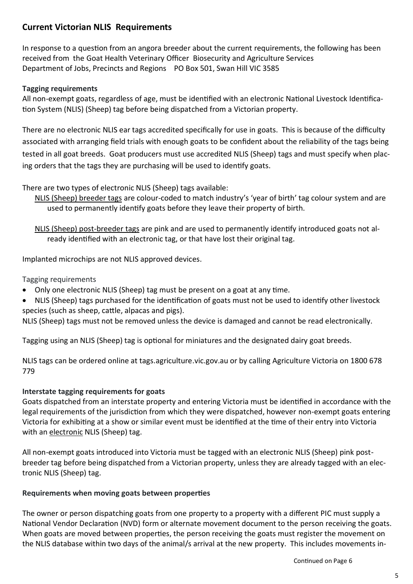### **Current Victorian NLIS Requirements**

In response to a question from an angora breeder about the current requirements, the following has been received from the Goat Health Veterinary Officer Biosecurity and Agriculture Services Department of Jobs, Precincts and Regions PO Box 501, Swan Hill VIC 3585

### **Tagging requirements**

All non-exempt goats, regardless of age, must be identified with an electronic National Livestock Identification System (NLIS) (Sheep) tag before being dispatched from a Victorian property.

There are no electronic NLIS ear tags accredited specifically for use in goats. This is because of the difficulty associated with arranging field trials with enough goats to be confident about the reliability of the tags being tested in all goat breeds. Goat producers must use accredited NLIS (Sheep) tags and must specify when placing orders that the tags they are purchasing will be used to identify goats.

### There are two types of electronic NLIS (Sheep) tags available:

NLIS (Sheep) breeder tags are colour-coded to match industry's 'year of birth' tag colour system and are used to permanently identify goats before they leave their property of birth.

NLIS (Sheep) post-breeder tags are pink and are used to permanently identify introduced goats not already identified with an electronic tag, or that have lost their original tag.

Implanted microchips are not NLIS approved devices.

Tagging requirements

- Only one electronic NLIS (Sheep) tag must be present on a goat at any time.
- NLIS (Sheep) tags purchased for the identification of goats must not be used to identify other livestock species (such as sheep, cattle, alpacas and pigs).

NLIS (Sheep) tags must not be removed unless the device is damaged and cannot be read electronically.

Tagging using an NLIS (Sheep) tag is optional for miniatures and the designated dairy goat breeds.

NLIS tags can be ordered online at tags.agriculture.vic.gov.au or by calling Agriculture Victoria on 1800 678 779

### **Interstate tagging requirements for goats**

Goats dispatched from an interstate property and entering Victoria must be identified in accordance with the legal requirements of the jurisdiction from which they were dispatched, however non-exempt goats entering Victoria for exhibiting at a show or similar event must be identified at the time of their entry into Victoria with an electronic NLIS (Sheep) tag.

All non-exempt goats introduced into Victoria must be tagged with an electronic NLIS (Sheep) pink postbreeder tag before being dispatched from a Victorian property, unless they are already tagged with an electronic NLIS (Sheep) tag.

### **Requirements when moving goats between properties**

The owner or person dispatching goats from one property to a property with a different PIC must supply a National Vendor Declaration (NVD) form or alternate movement document to the person receiving the goats. When goats are moved between properties, the person receiving the goats must register the movement on the NLIS database within two days of the animal/s arrival at the new property. This includes movements in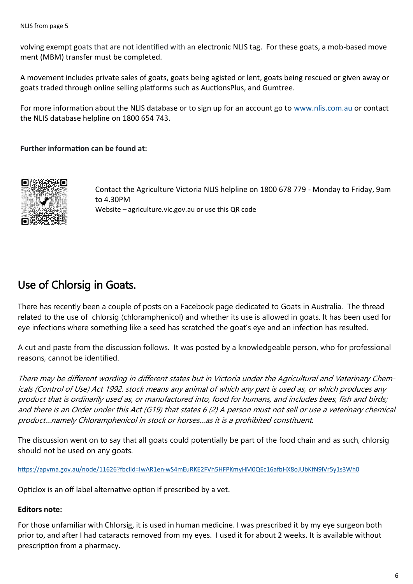volving exempt goats that are not identified with an electronic NLIS tag. For these goats, a mob-based move ment (MBM) transfer must be completed.

A movement includes private sales of goats, goats being agisted or lent, goats being rescued or given away or goats traded through online selling platforms such as AuctionsPlus, and Gumtree.

For more information about the NLIS database or to sign up for an account go to [www.nlis.com.au](http://www.nlis.com.au) or contact the NLIS database helpline on 1800 654 743.

### **Further information can be found at:**



Contact the Agriculture Victoria NLIS helpline on 1800 678 779 - Monday to Friday, 9am to 4.30PM Website – agriculture.vic.gov.au or use this QR code

# Use of Chlorsig in Goats.

There has recently been a couple of posts on a Facebook page dedicated to Goats in Australia. The thread related to the use of chlorsig (chloramphenicol) and whether its use is allowed in goats. It has been used for eye infections where something like a seed has scratched the goat's eye and an infection has resulted.

A cut and paste from the discussion follows. It was posted by a knowledgeable person, who for professional reasons, cannot be identified.

There may be different wording in different states but in Victoria under the Agricultural and Veterinary Chemicals (Control of Use) Act 1992. stock means any animal of which any part is used as, or which produces any product that is ordinarily used as, or manufactured into, food for humans, and includes bees, fish and birds; and there is an Order under this Act (G19) that states 6 (2) A person must not sell or use a veterinary chemical product…namely Chloramphenicol in stock or horses…as it is a prohibited constituent.

The discussion went on to say that all goats could potentially be part of the food chain and as such, chlorsig should not be used on any goats.

https://apvma.gov.au/node/11626?fbclid=IwAR1en-[wS4mEuRKE2FVh5HFPKmyHM0QEc16afbHX8oJUbKfN9lVr5y1s3Wh0](https://apvma.gov.au/node/11626?fbclid=IwAR1en-wS4mEuRKE2FVh5HFPKmyHM0QEc16afbHX8oJUbKfN9lVr5y1s3Wh0)

Opticlox is an off label alternative option if prescribed by a vet.

### **Editors note:**

For those unfamiliar with Chlorsig, it is used in human medicine. I was prescribed it by my eye surgeon both prior to, and after I had cataracts removed from my eyes. I used it for about 2 weeks. It is available without prescription from a pharmacy.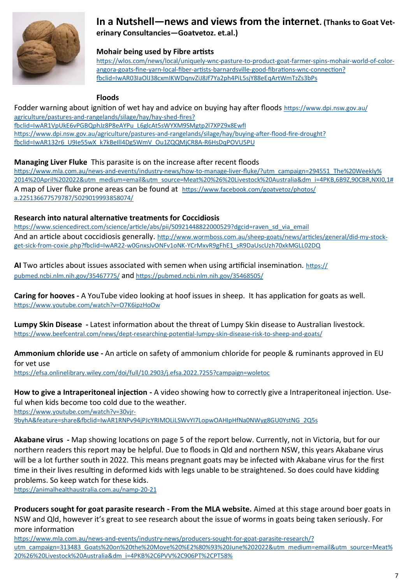

### **In a Nutshell—news and views from the internet. (Thanks to Goat Veterinary Consultancies—Goatvetoz. et.al.)**

### **Mohair being used by Fibre artists**

[https://wlos.com/news/local/uniquely](https://wlos.com/news/local/uniquely-wnc-pasture-to-product-goat-farmer-spins-mohair-world-of-color-angora-goats-fine-yarn-local-fiber-artists-barnardsville-good-fibrations-wnc-connection?fbclid=IwAR03IaOlJ38cxmIKWDqnvZiJ8Jf7Ya2ph4PiL5sjY88eEqArtWmTzZs3bPs)-wnc-pasture-to-product-goat-farmer-spins-mohair-world-of-colorangora-goats-fine-yarn-local-fiber-artists-[barnardsville](https://wlos.com/news/local/uniquely-wnc-pasture-to-product-goat-farmer-spins-mohair-world-of-color-angora-goats-fine-yarn-local-fiber-artists-barnardsville-good-fibrations-wnc-connection?fbclid=IwAR03IaOlJ38cxmIKWDqnvZiJ8Jf7Ya2ph4PiL5sjY88eEqArtWmTzZs3bPs)-good-fibrations-wnc-connection? [fbclid=IwAR03IaOlJ38cxmIKWDqnvZiJ8Jf7Ya2ph4PiL5sjY88eEqArtWmTzZs3bPs](https://wlos.com/news/local/uniquely-wnc-pasture-to-product-goat-farmer-spins-mohair-world-of-color-angora-goats-fine-yarn-local-fiber-artists-barnardsville-good-fibrations-wnc-connection?fbclid=IwAR03IaOlJ38cxmIKWDqnvZiJ8Jf7Ya2ph4PiL5sjY88eEqArtWmTzZs3bPs)

### **Floods**

Fodder warning about ignition of wet hay and advice on buying hay after floods [https://www.dpi.nsw.gov.au/](https://www.dpi.nsw.gov.au/agriculture/pastures-and-rangelands/silage/hay/hay-shed-fires?fbclid=IwAR1VpUkE6vPGBQphJz8P8eAYPu_L6glcAt5sWYXM9SMgtp2l7XPZ9x8EwfI) agriculture/pastures-and-[rangelands/silage/hay/hay](https://www.dpi.nsw.gov.au/agriculture/pastures-and-rangelands/silage/hay/hay-shed-fires?fbclid=IwAR1VpUkE6vPGBQphJz8P8eAYPu_L6glcAt5sWYXM9SMgtp2l7XPZ9x8EwfI)-shed-fires? [fbclid=IwAR1VpUkE6vPGBQphJz8P8eAYPu\\_L6glcAt5sWYXM9SMgtp2l7XPZ9x8EwfI](https://www.dpi.nsw.gov.au/agriculture/pastures-and-rangelands/silage/hay/hay-shed-fires?fbclid=IwAR1VpUkE6vPGBQphJz8P8eAYPu_L6glcAt5sWYXM9SMgtp2l7XPZ9x8EwfI) [https://www.dpi.nsw.gov.au/agriculture/pastures](https://www.dpi.nsw.gov.au/agriculture/pastures-and-rangelands/silage/hay/buying-after-flood-fire-drought?fbclid=IwAR132r6_U9Ie55wX_k7kBeIll4Dg5WmV_Ou1ZQQMjCR8A-R6HsDqPOVU5PU)-and-rangelands/silage/hay/buying-after-flood-fire-drought? [fbclid=IwAR132r6\\_U9Ie55wX\\_k7kBeIll4Dg5WmV\\_Ou1ZQQMjCR8A](https://www.dpi.nsw.gov.au/agriculture/pastures-and-rangelands/silage/hay/buying-after-flood-fire-drought?fbclid=IwAR132r6_U9Ie55wX_k7kBeIll4Dg5WmV_Ou1ZQQMjCR8A-R6HsDqPOVU5PU)-R6HsDqPOVU5PU

### **Managing Liver Fluke** This parasite is on the increase after recent floods

https://www.mla.com.au/news-and-events/industry-news/how-to-manage-liver-[fluke/?utm\\_campaign=294551\\_The%20Weekly%](https://www.mla.com.au/news-and-events/industry-news/how-to-manage-liver-fluke/?utm_campaign=294551_The%20Weekly%2014%20April%202022&utm_medium=email&utm_source=Meat%20%26%20Livestock%20Australia&dm_i=4PKB,6B9Z,90CBR,NXI0,1#) [2014%20April%202022&utm\\_medium=email&utm\\_source=Meat%20%26%20Livestock%20Australia&dm\\_i=4PKB,6B9Z,90CBR,NXI0,1#](https://www.mla.com.au/news-and-events/industry-news/how-to-manage-liver-fluke/?utm_campaign=294551_The%20Weekly%2014%20April%202022&utm_medium=email&utm_source=Meat%20%26%20Livestock%20Australia&dm_i=4PKB,6B9Z,90CBR,NXI0,1#) A map of Liver fluke prone areas can be found at [https://www.facebook.com/goatvetoz/photos/](https://www.facebook.com/goatvetoz/photos/a.225136677579787/5029019993858074/) [a.225136677579787/5029019993858074/](https://www.facebook.com/goatvetoz/photos/a.225136677579787/5029019993858074/)

### **Research into natural alternative treatments for Coccidiosis**

[https://www.sciencedirect.com/science/article/abs/pii/S0921448822000529?dgcid=raven\\_sd\\_via\\_email](https://www.sciencedirect.com/science/article/abs/pii/S0921448822000529?dgcid=raven_sd_via_email) And an article about coccidiosis generally. [http://www.wormboss.com.au/sheep](http://www.wormboss.com.au/sheep-goats/news/articles/general/did-my-stock-get-sick-from-coxie.php?fbclid=IwAR22-w0GnxsJvONFv1oNK-YCrMxvR9gFhE1_sR9DaUscUzh70xkMGLL02DQ)-goats/news/articles/general/did-my-stockget-sick-from-coxie.php?fbclid=IwAR22-w0GnxsJvONFv1oNK-[YCrMxvR9gFhE1\\_sR9DaUscUzh70xkMGLL02DQ](http://www.wormboss.com.au/sheep-goats/news/articles/general/did-my-stock-get-sick-from-coxie.php?fbclid=IwAR22-w0GnxsJvONFv1oNK-YCrMxvR9gFhE1_sR9DaUscUzh70xkMGLL02DQ)

**AI** Two articles about issues associated with semen when using artificial insemination. [https://](https://pubmed.ncbi.nlm.nih.gov/35467775/) [pubmed.ncbi.nlm.nih.gov/35467775/](https://pubmed.ncbi.nlm.nih.gov/35467775/) and <https://pubmed.ncbi.nlm.nih.gov/35468505/>

**Caring for hooves -** A YouTube video looking at hoof issues in sheep. It has application for goats as well. <https://www.youtube.com/watch?v=O7K6ipzHoOw>

**Lumpy Skin Disease -** Latest information about the threat of Lumpy Skin disease to Australian livestock. [https://www.beefcentral.com/news/dept](https://www.beefcentral.com/news/dept-researching-potential-lumpy-skin-disease-risk-to-sheep-and-goats/)-researching-potential-lumpy-skin-disease-risk-to-sheep-and-goats/

**Ammonium chloride use -** An article on safety of ammonium chloride for people & ruminants approved in EU for vet use

<https://efsa.onlinelibrary.wiley.com/doi/full/10.2903/j.efsa.2022.7255?campaign=woletoc>

**How to give a Intraperitoneal injection -** A video showing how to correctly give a Intraperitoneal injection. Useful when kids become too cold due to the weather. https://www.youtube.com/watch?v=30vir-[9byhA&feature=share&fbclid=IwAR1RNPv94jPJcYRIMOLiLSWvYI7LopwOAHIpHfNa0NWyg8GU0YstNG\\_2Q5s](https://www.youtube.com/watch?v=30vjr-9byhA&feature=share&fbclid=IwAR1RNPv94jPJcYRIMOLiLSWvYI7LopwOAHIpHfNa0NWyg8GU0YstNG_2Q5s)

**Akabane virus -** Map showing locations on page 5 of the report below. Currently, not in Victoria, but for our northern readers this report may be helpful. Due to floods in Qld and northern NSW, this years Akabane virus will be a lot further south in 2022. This means pregnant goats may be infected with Akabane virus for the first time in their lives resulting in deformed kids with legs unable to be straightened. So does could have kidding

problems. So keep watch for these kids.

[https://animalhealthaustralia.com.au/namp](https://l.facebook.com/l.php?u=https%3A%2F%2Fanimalhealthaustralia.com.au%2Fnamp-20-21%3Ffbclid%3DIwAR06FP_DDk7fyOoZIHWbP33snoPNk91b_vhB8M6oP36LmLp8mYnSNjJeHmc&h=AT3ICwgkcuHb4x1BNVs_DbH4NNy0LGapaKWTO7_-X96d97b9BPAp_5aW755AAsoseZMA3hfU2LwZOIz3oBReswNyIoTrBp2pc)-20-21

**Producers sought for goat parasite research - From the MLA website.** Aimed at this stage around boer goats in NSW and Qld, however it's great to see research about the issue of worms in goats being taken seriously. For more information

[https://www.mla.com.au/news](https://www.mla.com.au/news-and-events/industry-news/producers-sought-for-goat-parasite-research/?utm_campaign=313483_Goats%20on%20the%20Move%20%E2%80%93%20June%202022&utm_medium=email&utm_source=Meat%20%26%20Livestock%20Australia&dm_i=4PKB%2C6PVV%2C906PT%2CP)-and-events/industry-news/producers-sought-for-goat-parasite-research/? [utm\\_campaign=313483\\_Goats%20on%20the%20Move%20%E2%80%93%20June%202022&utm\\_medium=email&utm\\_source=Meat%](https://www.mla.com.au/news-and-events/industry-news/producers-sought-for-goat-parasite-research/?utm_campaign=313483_Goats%20on%20the%20Move%20%E2%80%93%20June%202022&utm_medium=email&utm_source=Meat%20%26%20Livestock%20Australia&dm_i=4PKB%2C6PVV%2C906PT%2CP) [20%26%20Livestock%20Australia&dm\\_i=4PKB%2C6PVV%2C906PT%2CPT58%](https://www.mla.com.au/news-and-events/industry-news/producers-sought-for-goat-parasite-research/?utm_campaign=313483_Goats%20on%20the%20Move%20%E2%80%93%20June%202022&utm_medium=email&utm_source=Meat%20%26%20Livestock%20Australia&dm_i=4PKB%2C6PVV%2C906PT%2CP)